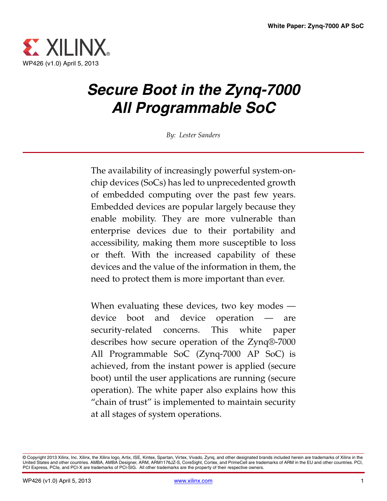

# *Secure Boot in the Zynq-7000 All Programmable SoC*

*By: Lester Sanders*

The availability of increasingly powerful system-onchip devices (SoCs) has led to unprecedented growth of embedded computing over the past few years. Embedded devices are popular largely because they enable mobility. They are more vulnerable than enterprise devices due to their portability and accessibility, making them more susceptible to loss or theft. With the increased capability of these devices and the value of the information in them, the need to protect them is more important than ever.

When evaluating these devices, two key modes device boot and device operation — are security-related concerns. This white paper describes how secure operation of the Zynq®-7000 All Programmable SoC (Zynq-7000 AP SoC) is achieved, from the instant power is applied (secure boot) until the user applications are running (secure operation). The white paper also explains how this "chain of trust" is implemented to maintain security at all stages of system operations.

<sup>©</sup> Copyright 2013 Xilinx, Inc. Xilinx, the Xilinx logo, Artix, ISE, Kintex, Spartan, Virtex, Vivado, Zynq, and other designated brands included herein are trademarks of Xilinx in the<br>United States and other countries. AMBA, PCI Express, PCIe, and PCI-X are trademarks of PCI-SIG. All other trademarks are the property of their respective owners.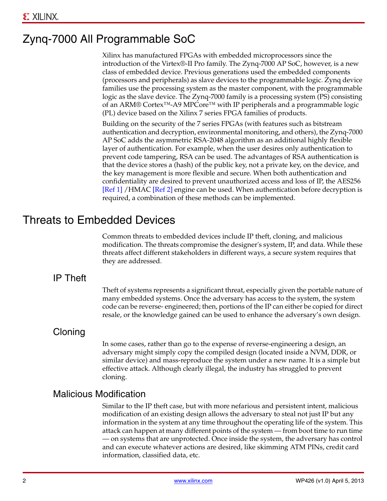# Zynq-7000 All Programmable SoC

Xilinx has manufactured FPGAs with embedded microprocessors since the introduction of the Virtex®-II Pro family. The Zynq-7000 AP SoC, however, is a new class of embedded device. Previous generations used the embedded components (processors and peripherals) as slave devices to the programmable logic. Zynq device families use the processing system as the master component, with the programmable logic as the slave device. The Zynq-7000 family is a processing system (PS) consisting of an ARM® Cortex™-A9 MPCore™ with IP peripherals and a programmable logic (PL) device based on the Xilinx 7 series FPGA families of products.

Building on the security of the 7 series FPGAs (with features such as bitstream authentication and decryption, environmental monitoring, and others), the Zynq-7000 AP SoC adds the asymmetric RSA-2048 algorithm as an additional highly flexible layer of authentication. For example, when the user desires only authentication to prevent code tampering, RSA can be used. The advantages of RSA authentication is that the device stores a (hash) of the public key, not a private key, on the device, and the key management is more flexible and secure. When both authentication and confidentiality are desired to prevent unauthorized access and loss of IP, the AES256 [\[Ref 1\]](#page-8-0) /HMAC [\[Ref 2\]](#page-8-1) engine can be used. When authentication before decryption is required, a combination of these methods can be implemented.

### Threats to Embedded Devices

Common threats to embedded devices include IP theft, cloning, and malicious modification. The threats compromise the designer's system, IP, and data. While these threats affect different stakeholders in different ways, a secure system requires that they are addressed.

### IP Theft

Theft of systems represents a significant threat, especially given the portable nature of many embedded systems. Once the adversary has access to the system, the system code can be reverse- engineered; then, portions of the IP can either be copied for direct resale, or the knowledge gained can be used to enhance the adversary's own design.

### **Cloning**

In some cases, rather than go to the expense of reverse-engineering a design, an adversary might simply copy the compiled design (located inside a NVM, DDR, or similar device) and mass-reproduce the system under a new name. It is a simple but effective attack. Although clearly illegal, the industry has struggled to prevent cloning.

### Malicious Modification

Similar to the IP theft case, but with more nefarious and persistent intent, malicious modification of an existing design allows the adversary to steal not just IP but any information in the system at any time throughout the operating life of the system. This attack can happen at many different points of the system — from boot time to run time — on systems that are unprotected. Once inside the system, the adversary has control and can execute whatever actions are desired, like skimming ATM PINs, credit card information, classified data, etc.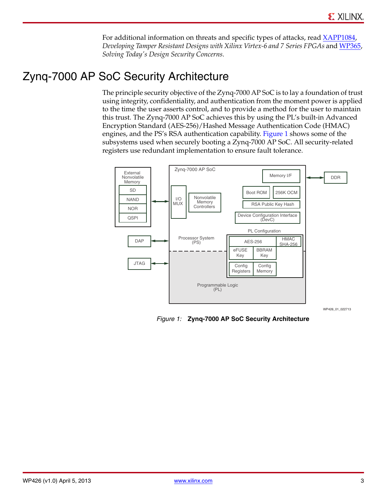For additional information on threats and specific types of attacks, read [XAPP1084](http://www.xilinx.com/support/documentation/application_notes/xapp1084_tamp_resist_dsgns.pdf), *Developing Tamper Resistant Designs with Xilinx Virtex-6 and 7 Series FPGAs* and [WP365,](http://www.xilinx.com/support/documentation/white_papers/wp365_Solving_Security_Concerns.pdf) *Solving Today's Design Security Concerns*.

# Zynq-7000 AP SoC Security Architecture

The principle security objective of the Zynq-7000 AP SoC is to lay a foundation of trust using integrity, confidentiality, and authentication from the moment power is applied to the time the user asserts control, and to provide a method for the user to maintain this trust. The Zynq-7000 AP SoC achieves this by using the PL's built-in Advanced Encryption Standard (AES-256)/Hashed Message Authentication Code (HMAC) engines, and the PS's RSA authentication capability. [Figure 1](#page-2-0) shows some of the subsystems used when securely booting a Zynq-7000 AP SoC. All security-related registers use redundant implementation to ensure fault tolerance.

<span id="page-2-0"></span>

WP426\_01\_022713

*Figure 1:* **Zynq-7000 AP SoC Security Architecture**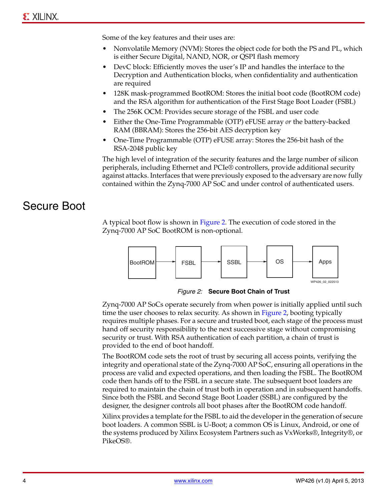Some of the key features and their uses are:

- Nonvolatile Memory (NVM): Stores the object code for both the PS and PL, which is either Secure Digital, NAND, NOR, or QSPI flash memory
- DevC block: Efficiently moves the user's IP and handles the interface to the Decryption and Authentication blocks, when confidentiality and authentication are required
- 128K mask-programmed BootROM: Stores the initial boot code (BootROM code) and the RSA algorithm for authentication of the First Stage Boot Loader (FSBL)
- The 256K OCM: Provides secure storage of the FSBL and user code
- Either the One-Time Programmable (OTP) eFUSE array *or* the battery-backed RAM (BBRAM): Stores the 256-bit AES decryption key
- One-Time Programmable (OTP) eFUSE array: Stores the 256-bit hash of the RSA-2048 public key

The high level of integration of the security features and the large number of silicon peripherals, including Ethernet and PCIe® controllers, provide additional security against attacks. Interfaces that were previously exposed to the adversary are now fully contained within the Zynq-7000 AP SoC and under control of authenticated users.

## Secure Boot

A typical boot flow is shown in [Figure 2](#page-3-0). The execution of code stored in the Zynq-7000 AP SoC BootROM is non-optional.

<span id="page-3-0"></span>

*Figure 2:* **Secure Boot Chain of Trust**

Zynq-7000 AP SoCs operate securely from when power is initially applied until such time the user chooses to relax security. As shown in [Figure 2,](#page-3-0) booting typically requires multiple phases. For a secure and trusted boot, each stage of the process must hand off security responsibility to the next successive stage without compromising security or trust. With RSA authentication of each partition, a chain of trust is provided to the end of boot handoff.

The BootROM code sets the root of trust by securing all access points, verifying the integrity and operational state of the Zynq-7000 AP SoC, ensuring all operations in the process are valid and expected operations, and then loading the FSBL. The BootROM code then hands off to the FSBL in a secure state. The subsequent boot loaders are required to maintain the chain of trust both in operation and in subsequent handoffs. Since both the FSBL and Second Stage Boot Loader (SSBL) are configured by the designer, the designer controls all boot phases after the BootROM code handoff.

Xilinx provides a template for the FSBL to aid the developer in the generation of secure boot loaders. A common SSBL is U-Boot; a common OS is Linux, Android, or one of the systems produced by Xilinx Ecosystem Partners such as VxWorks®, Integrity®, or PikeOS®.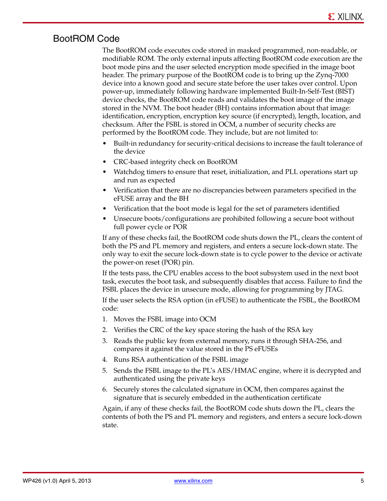### BootROM Code

The BootROM code executes code stored in masked programmed, non-readable, or modifiable ROM. The only external inputs affecting BootROM code execution are the boot mode pins and the user selected encryption mode specified in the image boot header. The primary purpose of the BootROM code is to bring up the Zynq-7000 device into a known good and secure state before the user takes over control. Upon power-up, immediately following hardware implemented Built-In-Self-Test (BIST) device checks, the BootROM code reads and validates the boot image of the image stored in the NVM. The boot header (BH) contains information about that image: identification, encryption, encryption key source (if encrypted), length, location, and checksum. After the FSBL is stored in OCM, a number of security checks are performed by the BootROM code. They include, but are not limited to:

- Built-in redundancy for security-critical decisions to increase the fault tolerance of the device
- CRC-based integrity check on BootROM
- Watchdog timers to ensure that reset, initialization, and PLL operations start up and run as expected
- Verification that there are no discrepancies between parameters specified in the eFUSE array and the BH
- Verification that the boot mode is legal for the set of parameters identified
- Unsecure boots/configurations are prohibited following a secure boot without full power cycle or POR

If any of these checks fail, the BootROM code shuts down the PL, clears the content of both the PS and PL memory and registers, and enters a secure lock-down state. The only way to exit the secure lock-down state is to cycle power to the device or activate the power-on reset (POR) pin.

If the tests pass, the CPU enables access to the boot subsystem used in the next boot task, executes the boot task, and subsequently disables that access. Failure to find the FSBL places the device in unsecure mode, allowing for programming by JTAG.

If the user selects the RSA option (in eFUSE) to authenticate the FSBL, the BootROM code:

- 1. Moves the FSBL image into OCM
- 2. Verifies the CRC of the key space storing the hash of the RSA key
- 3. Reads the public key from external memory, runs it through SHA-256, and compares it against the value stored in the PS eFUSEs
- 4. Runs RSA authentication of the FSBL image
- 5. Sends the FSBL image to the PL's AES/HMAC engine, where it is decrypted and authenticated using the private keys
- 6. Securely stores the calculated signature in OCM, then compares against the signature that is securely embedded in the authentication certificate

Again, if any of these checks fail, the BootROM code shuts down the PL, clears the contents of both the PS and PL memory and registers, and enters a secure lock-down state.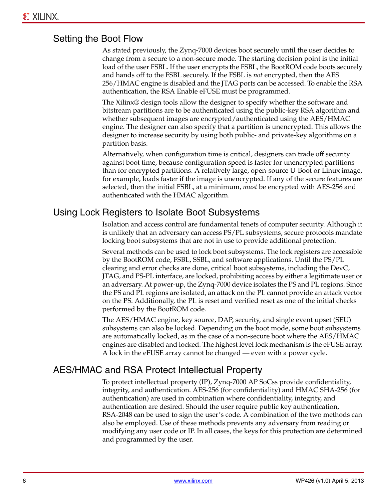#### Setting the Boot Flow

As stated previously, the Zynq-7000 devices boot securely until the user decides to change from a secure to a non-secure mode. The starting decision point is the initial load of the user FSBL. If the user encrypts the FSBL, the BootROM code boots securely and hands off to the FSBL securely. If the FSBL is *not* encrypted, then the AES 256/HMAC engine is disabled and the JTAG ports can be accessed. To enable the RSA authentication, the RSA Enable eFUSE must be programmed.

The Xilinx® design tools allow the designer to specify whether the software and bitstream partitions are to be authenticated using the public-key RSA algorithm and whether subsequent images are encrypted/authenticated using the AES/HMAC engine. The designer can also specify that a partition is unencrypted. This allows the designer to increase security by using both public- and private-key algorithms on a partition basis.

Alternatively, when configuration time is critical, designers can trade off security against boot time, because configuration speed is faster for unencrypted partitions than for encrypted partitions. A relatively large, open-source U-Boot or Linux image, for example, loads faster if the image is unencrypted. If any of the secure features are selected, then the initial FSBL, at a minimum, *must* be encrypted with AES-256 and authenticated with the HMAC algorithm.

#### Using Lock Registers to Isolate Boot Subsystems

Isolation and access control are fundamental tenets of computer security. Although it is unlikely that an adversary can access PS/PL subsystems, secure protocols mandate locking boot subsystems that are not in use to provide additional protection.

Several methods can be used to lock boot subsystems. The lock registers are accessible by the BootROM code, FSBL, SSBL, and software applications. Until the PS/PL clearing and error checks are done, critical boot subsystems, including the DevC, JTAG, and PS-PL interface, are locked, prohibiting access by either a legitimate user or an adversary. At power-up, the Zynq-7000 device isolates the PS and PL regions. Since the PS and PL regions are isolated, an attack on the PL cannot provide an attack vector on the PS. Additionally, the PL is reset and verified reset as one of the initial checks performed by the BootROM code.

The AES/HMAC engine, key source, DAP, security, and single event upset (SEU) subsystems can also be locked. Depending on the boot mode, some boot subsystems are automatically locked, as in the case of a non-secure boot where the AES/HMAC engines are disabled and locked. The highest level lock mechanism is the eFUSE array. A lock in the eFUSE array cannot be changed — even with a power cycle.

### AES/HMAC and RSA Protect Intellectual Property

To protect intellectual property (IP), Zynq-7000 AP SoCss provide confidentiality, integrity, and authentication. AES-256 (for confidentiality) and HMAC SHA-256 (for authentication) are used in combination where confidentiality, integrity, and authentication are desired. Should the user require public key authentication, RSA-2048 can be used to sign the user's code. A combination of the two methods can also be employed. Use of these methods prevents any adversary from reading or modifying any user code or IP. In all cases, the keys for this protection are determined and programmed by the user.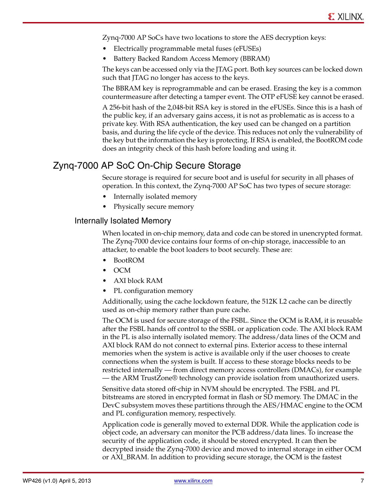Zynq-7000 AP SoCs have two locations to store the AES decryption keys:

- Electrically programmable metal fuses (eFUSEs)
- Battery Backed Random Access Memory (BBRAM)

The keys can be accessed only via the JTAG port. Both key sources can be locked down such that JTAG no longer has access to the keys.

The BBRAM key is reprogrammable and can be erased. Erasing the key is a common countermeasure after detecting a tamper event. The OTP eFUSE key cannot be erased.

A 256-bit hash of the 2,048-bit RSA key is stored in the eFUSEs. Since this is a hash of the public key, if an adversary gains access, it is not as problematic as is access to a private key. With RSA authentication, the key used can be changed on a partition basis, and during the life cycle of the device. This reduces not only the vulnerability of the key but the information the key is protecting. If RSA is enabled, the BootROM code does an integrity check of this hash before loading and using it.

### Zynq-7000 AP SoC On-Chip Secure Storage

Secure storage is required for secure boot and is useful for security in all phases of operation. In this context, the Zynq-7000 AP SoC has two types of secure storage:

- Internally isolated memory
- Physically secure memory

#### Internally Isolated Memory

When located in on-chip memory, data and code can be stored in unencrypted format. The Zynq-7000 device contains four forms of on-chip storage, inaccessible to an attacker, to enable the boot loaders to boot securely. These are:

- BootROM
- OCM
- AXI block RAM
- PL configuration memory

Additionally, using the cache lockdown feature, the 512K L2 cache can be directly used as on-chip memory rather than pure cache.

The OCM is used for secure storage of the FSBL. Since the OCM is RAM, it is reusable after the FSBL hands off control to the SSBL or application code. The AXI block RAM in the PL is also internally isolated memory. The address/data lines of the OCM and AXI block RAM do not connect to external pins. Exterior access to these internal memories when the system is active is available only if the user chooses to create connections when the system is built. If access to these storage blocks needs to be restricted internally — from direct memory access controllers (DMACs), for example — the ARM TrustZone® technology can provide isolation from unauthorized users.

Sensitive data stored off-chip in NVM should be encrypted. The FSBL and PL bitstreams are stored in encrypted format in flash or SD memory. The DMAC in the DevC subsystem moves these partitions through the AES/HMAC engine to the OCM and PL configuration memory, respectively.

Application code is generally moved to external DDR. While the application code is object code, an adversary can monitor the PCB address/data lines. To increase the security of the application code, it should be stored encrypted. It can then be decrypted inside the Zynq-7000 device and moved to internal storage in either OCM or AXI\_BRAM. In addition to providing secure storage, the OCM is the fastest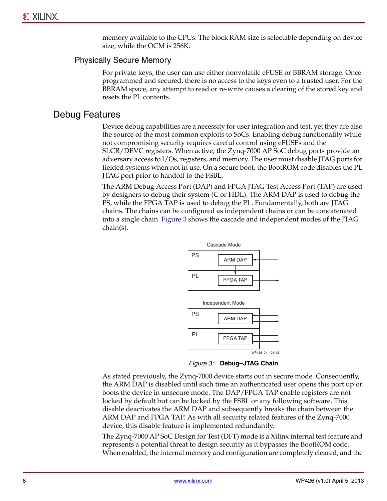memory available to the CPUs. The block RAM size is selectable depending on device size, while the OCM is 256K.

#### Physically Secure Memory

For private keys, the user can use either nonvolatile eFUSE or BBRAM storage. Once programmed and secured, there is no access to the keys even to a trusted user. For the BBRAM space, any attempt to read or re-write causes a clearing of the stored key and resets the PL contents.

#### Debug Features

Device debug capabilities are a necessity for user integration and test, yet they are also the source of the most common exploits to SoCs. Enabling debug functionality while not compromising security requires careful control using eFUSEs and the SLCR/DEVC registers. When active, the Zynq-7000 AP SoC debug ports provide an adversary access to I/Os, registers, and memory. The user must disable JTAG ports for fielded systems when not in use. On a secure boot, the BootROM code disables the PL JTAG port prior to handoff to the FSBL.

<span id="page-7-0"></span>The ARM Debug Access Port (DAP) and FPGA JTAG Test Access Port (TAP) are used by designers to debug their system (C or HDL). The ARM DAP is used to debug the PS, while the FPGA TAP is used to debug the PL. Fundamentally, both are JTAG chains. The chains can be configured as independent chains or can be concatenated into a single chain. [Figure 3](#page-7-0) shows the cascade and independent modes of the JTAG chain(s).



*Figure 3:* **Debug–JTAG Chain**

As stated previously, the Zynq-7000 device starts out in secure mode. Consequently, the ARM DAP is disabled until such time an authenticated user opens this port up or boots the device in unsecure mode. The DAP/FPGA TAP enable registers are not locked by default but can be locked by the FSBL or any following software. This disable deactivates the ARM DAP and subsequently breaks the chain between the ARM DAP and FPGA TAP. As with all security related features of the Zynq-7000 device, this disable feature is implemented redundantly.

The Zynq-7000 AP SoC Design for Test (DFT) mode is a Xilinx internal test feature and represents a potential threat to design security as it bypasses the BootROM code. When enabled, the internal memory and configuration are completely cleared, and the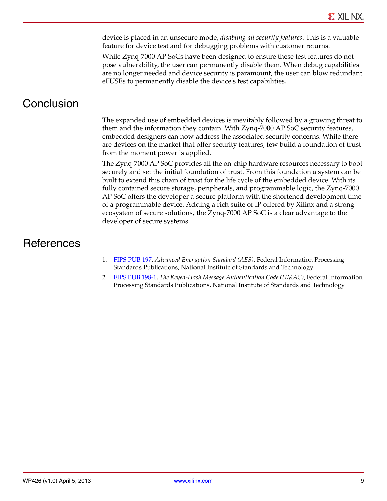device is placed in an unsecure mode, *disabling all security features*. This is a valuable feature for device test and for debugging problems with customer returns.

While Zynq-7000 AP SoCs have been designed to ensure these test features do not pose vulnerability, the user can permanently disable them. When debug capabilities are no longer needed and device security is paramount, the user can blow redundant eFUSEs to permanently disable the device's test capabilities.

# **Conclusion**

The expanded use of embedded devices is inevitably followed by a growing threat to them and the information they contain. With Zynq-7000 AP SoC security features, embedded designers can now address the associated security concerns. While there are devices on the market that offer security features, few build a foundation of trust from the moment power is applied.

The Zynq-7000 AP SoC provides all the on-chip hardware resources necessary to boot securely and set the initial foundation of trust. From this foundation a system can be built to extend this chain of trust for the life cycle of the embedded device. With its fully contained secure storage, peripherals, and programmable logic, the Zynq-7000 AP SoC offers the developer a secure platform with the shortened development time of a programmable device. Adding a rich suite of IP offered by Xilinx and a strong ecosystem of secure solutions, the Zynq-7000 AP SoC is a clear advantage to the developer of secure systems.

## **References**

- <span id="page-8-0"></span>1. [FIPS PUB 197](http://csrc.nist.gov/publications/fips/fips197/fips-197.pdf), *Advanced Encryption Standard (AES)*, Federal Information Processing Standards Publications, National Institute of Standards and Technology
- <span id="page-8-1"></span>2. [FIPS PUB 198-1,](http://csrc.nist.gov/publications/fips/fips198-1/FIPS-198-1_final.pdf) *The Keyed-Hash Message Authentication Code (HMAC)*, Federal Information Processing Standards Publications, National Institute of Standards and Technology